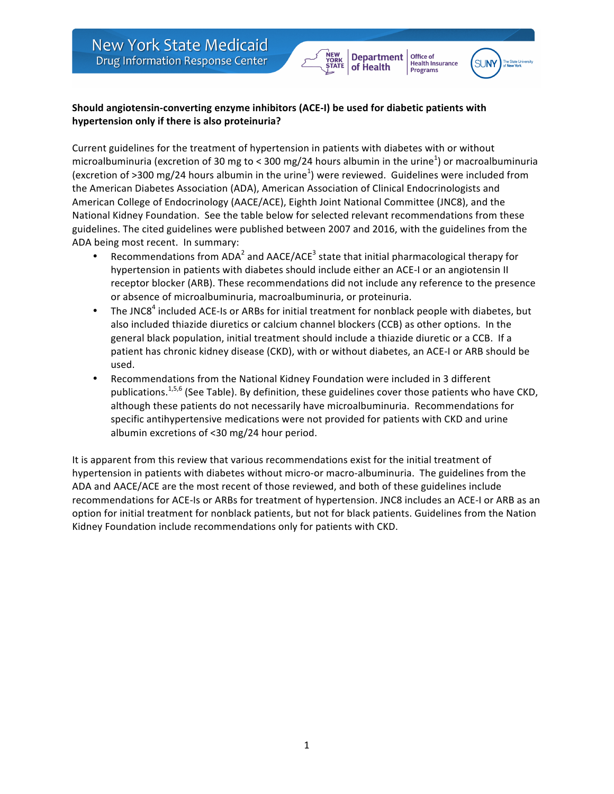## Should angiotensin-converting enzyme inhibitors (ACE-I) be used for diabetic patients with hypertension only if there is also proteinuria?

Current guidelines for the treatment of hypertension in patients with diabetes with or without microalbuminuria (excretion of 30 mg to < 300 mg/24 hours albumin in the urine<sup>1</sup>) or macroalbuminuria (excretion of >300 mg/24 hours albumin in the urine<sup>1</sup>) were reviewed. Guidelines were included from the American Diabetes Association (ADA), American Association of Clinical Endocrinologists and American College of Endocrinology (AACE/ACE), Eighth Joint National Committee (JNC8), and the National Kidney Foundation. See the table below for selected relevant recommendations from these guidelines. The cited guidelines were published between 2007 and 2016, with the guidelines from the ADA being most recent. In summary:

**Department** 

of Health

Office of

**Programs** 

**Health Insurance** 

SUNY

- Recommendations from ADA<sup>2</sup> and AACE/ACE<sup>3</sup> state that initial pharmacological therapy for hypertension in patients with diabetes should include either an ACE-I or an angiotensin II receptor blocker (ARB). These recommendations did not include any reference to the presence or absence of microalbuminuria, macroalbuminuria, or proteinuria.
- The JNC8<sup>4</sup> included ACE-Is or ARBs for initial treatment for nonblack people with diabetes, but also included thiazide diuretics or calcium channel blockers (CCB) as other options. In the general black population, initial treatment should include a thiazide diuretic or a CCB. If a patient has chronic kidney disease (CKD), with or without diabetes, an ACE-I or ARB should be used.
- Recommendations from the National Kidney Foundation were included in 3 different publications.<sup>1,5,6</sup> (See Table). By definition, these guidelines cover those patients who have CKD, although these patients do not necessarily have microalbuminuria. Recommendations for specific antihypertensive medications were not provided for patients with CKD and urine albumin excretions of  $<$ 30 mg/24 hour period.

It is apparent from this review that various recommendations exist for the initial treatment of hypertension in patients with diabetes without micro-or macro-albuminuria. The guidelines from the ADA and AACE/ACE are the most recent of those reviewed, and both of these guidelines include recommendations for ACE-Is or ARBs for treatment of hypertension. JNC8 includes an ACE-I or ARB as an option for initial treatment for nonblack patients, but not for black patients. Guidelines from the Nation Kidney Foundation include recommendations only for patients with CKD.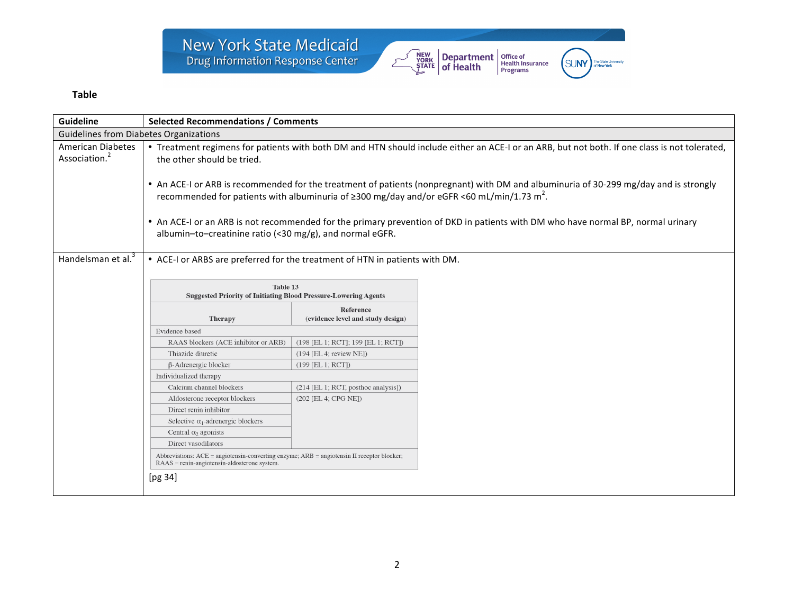

(SUNY)

The State University<br>of **New York** 

## **Table**

| Guideline                                             | <b>Selected Recommendations / Comments</b>                                                                                                                                                                                                                                                                                                                                                                                                                                                                                                                                                                                          |                                                |  |  |
|-------------------------------------------------------|-------------------------------------------------------------------------------------------------------------------------------------------------------------------------------------------------------------------------------------------------------------------------------------------------------------------------------------------------------------------------------------------------------------------------------------------------------------------------------------------------------------------------------------------------------------------------------------------------------------------------------------|------------------------------------------------|--|--|
| <b>Guidelines from Diabetes Organizations</b>         |                                                                                                                                                                                                                                                                                                                                                                                                                                                                                                                                                                                                                                     |                                                |  |  |
| <b>American Diabetes</b><br>Association. <sup>2</sup> | • Treatment regimens for patients with both DM and HTN should include either an ACE-I or an ARB, but not both. If one class is not tolerated,<br>the other should be tried.<br>• An ACE-I or ARB is recommended for the treatment of patients (nonpregnant) with DM and albuminuria of 30-299 mg/day and is strongly<br>recommended for patients with albuminuria of $\geq$ 300 mg/day and/or eGFR <60 mL/min/1.73 m <sup>2</sup> .<br>• An ACE-I or an ARB is not recommended for the primary prevention of DKD in patients with DM who have normal BP, normal urinary<br>albumin-to-creatinine ratio (<30 mg/g), and normal eGFR. |                                                |  |  |
| Handelsman et al. <sup>3</sup>                        | • ACE-I or ARBS are preferred for the treatment of HTN in patients with DM.<br>Table 13<br><b>Suggested Priority of Initiating Blood Pressure-Lowering Agents</b>                                                                                                                                                                                                                                                                                                                                                                                                                                                                   |                                                |  |  |
|                                                       | Therapy                                                                                                                                                                                                                                                                                                                                                                                                                                                                                                                                                                                                                             | Reference<br>(evidence level and study design) |  |  |
|                                                       | Evidence based                                                                                                                                                                                                                                                                                                                                                                                                                                                                                                                                                                                                                      |                                                |  |  |
|                                                       | RAAS blockers (ACE inhibitor or ARB)                                                                                                                                                                                                                                                                                                                                                                                                                                                                                                                                                                                                | (198 [EL 1; RCT]; 199 [EL 1; RCT])             |  |  |
|                                                       | Thiazide diuretic                                                                                                                                                                                                                                                                                                                                                                                                                                                                                                                                                                                                                   | $(194$ [EL 4; review NE])                      |  |  |
|                                                       | β-Adrenergic blocker                                                                                                                                                                                                                                                                                                                                                                                                                                                                                                                                                                                                                | $(199$ [EL 1; RCT])                            |  |  |
|                                                       | Individualized therapy                                                                                                                                                                                                                                                                                                                                                                                                                                                                                                                                                                                                              |                                                |  |  |
|                                                       | Calcium channel blockers                                                                                                                                                                                                                                                                                                                                                                                                                                                                                                                                                                                                            | $(214$ [EL 1; RCT, posthoc analysis])          |  |  |
|                                                       | Aldosterone receptor blockers                                                                                                                                                                                                                                                                                                                                                                                                                                                                                                                                                                                                       | $(202$ [EL 4; CPG NE])                         |  |  |
|                                                       | Direct renin inhibitor                                                                                                                                                                                                                                                                                                                                                                                                                                                                                                                                                                                                              |                                                |  |  |
|                                                       | Selective $\alpha_1$ -adrenergic blockers                                                                                                                                                                                                                                                                                                                                                                                                                                                                                                                                                                                           |                                                |  |  |
|                                                       | Central $\alpha_2$ agonists                                                                                                                                                                                                                                                                                                                                                                                                                                                                                                                                                                                                         |                                                |  |  |
|                                                       | Direct vasodilators                                                                                                                                                                                                                                                                                                                                                                                                                                                                                                                                                                                                                 |                                                |  |  |
|                                                       | Abbreviations: ACE = angiotensin-converting enzyme; ARB = angiotensin II receptor blocker;<br>$RAAS = renin-angiotensin-aldosterone system.$                                                                                                                                                                                                                                                                                                                                                                                                                                                                                        |                                                |  |  |
|                                                       | [ $pg 34$ ]                                                                                                                                                                                                                                                                                                                                                                                                                                                                                                                                                                                                                         |                                                |  |  |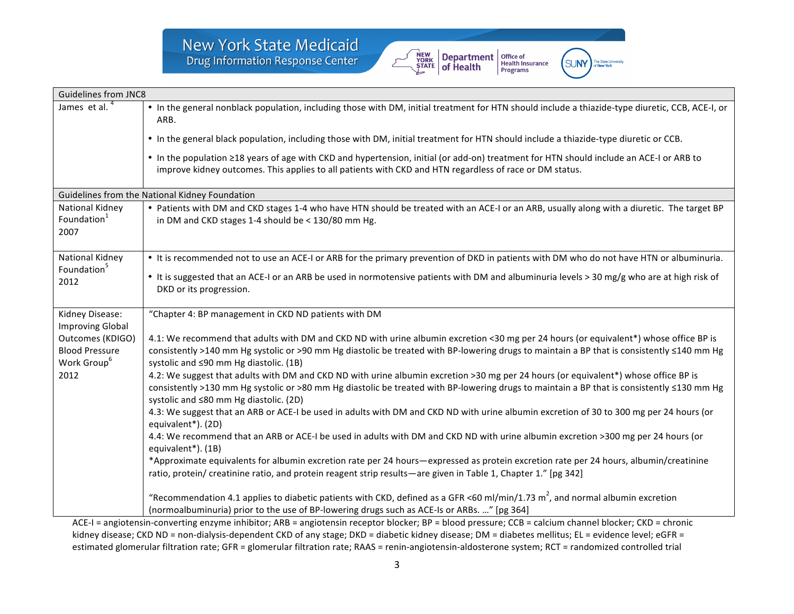

**SUNY** 

| <b>Guidelines from JNC8</b>                                                  |                                                                                                                                                                                                                                                                                                                               |  |  |  |
|------------------------------------------------------------------------------|-------------------------------------------------------------------------------------------------------------------------------------------------------------------------------------------------------------------------------------------------------------------------------------------------------------------------------|--|--|--|
| James et al. <sup>4</sup>                                                    | • In the general nonblack population, including those with DM, initial treatment for HTN should include a thiazide-type diuretic, CCB, ACE-I, or<br>ARB.                                                                                                                                                                      |  |  |  |
|                                                                              | • In the general black population, including those with DM, initial treatment for HTN should include a thiazide-type diuretic or CCB.                                                                                                                                                                                         |  |  |  |
|                                                                              | • In the population ≥18 years of age with CKD and hypertension, initial (or add-on) treatment for HTN should include an ACE-I or ARB to<br>improve kidney outcomes. This applies to all patients with CKD and HTN regardless of race or DM status.                                                                            |  |  |  |
| Guidelines from the National Kidney Foundation                               |                                                                                                                                                                                                                                                                                                                               |  |  |  |
| National Kidney<br>Foundation <sup>1</sup><br>2007                           | • Patients with DM and CKD stages 1-4 who have HTN should be treated with an ACE-I or an ARB, usually along with a diuretic. The target BP<br>in DM and CKD stages 1-4 should be < 130/80 mm Hg.                                                                                                                              |  |  |  |
| National Kidney<br>Foundation <sup>5</sup><br>2012                           | • It is recommended not to use an ACE-I or ARB for the primary prevention of DKD in patients with DM who do not have HTN or albuminuria.                                                                                                                                                                                      |  |  |  |
|                                                                              | • It is suggested that an ACE-I or an ARB be used in normotensive patients with DM and albuminuria levels > 30 mg/g who are at high risk of<br>DKD or its progression.                                                                                                                                                        |  |  |  |
| Kidney Disease:                                                              | "Chapter 4: BP management in CKD ND patients with DM                                                                                                                                                                                                                                                                          |  |  |  |
| <b>Improving Global</b>                                                      |                                                                                                                                                                                                                                                                                                                               |  |  |  |
| Outcomes (KDIGO)<br><b>Blood Pressure</b><br>Work Group <sup>6</sup><br>2012 | 4.1: We recommend that adults with DM and CKD ND with urine albumin excretion <30 mg per 24 hours (or equivalent*) whose office BP is<br>consistently >140 mm Hg systolic or >90 mm Hg diastolic be treated with BP-lowering drugs to maintain a BP that is consistently ≤140 mm Hg<br>systolic and ≤90 mm Hg diastolic. (1B) |  |  |  |
|                                                                              | 4.2: We suggest that adults with DM and CKD ND with urine albumin excretion >30 mg per 24 hours (or equivalent*) whose office BP is<br>consistently >130 mm Hg systolic or >80 mm Hg diastolic be treated with BP-lowering drugs to maintain a BP that is consistently ≤130 mm Hg<br>systolic and ≤80 mm Hg diastolic. (2D)   |  |  |  |
|                                                                              | 4.3: We suggest that an ARB or ACE-I be used in adults with DM and CKD ND with urine albumin excretion of 30 to 300 mg per 24 hours (or<br>equivalent*). (2D)                                                                                                                                                                 |  |  |  |
|                                                                              | 4.4: We recommend that an ARB or ACE-I be used in adults with DM and CKD ND with urine albumin excretion >300 mg per 24 hours (or<br>equivalent*). (1B)                                                                                                                                                                       |  |  |  |
|                                                                              | *Approximate equivalents for albumin excretion rate per 24 hours—expressed as protein excretion rate per 24 hours, albumin/creatinine<br>ratio, protein/ creatinine ratio, and protein reagent strip results—are given in Table 1, Chapter 1." [pg 342]                                                                       |  |  |  |
|                                                                              | "Recommendation 4.1 applies to diabetic patients with CKD, defined as a GFR <60 ml/min/1.73 m <sup>2</sup> , and normal albumin excretion<br>(normoalbuminuria) prior to the use of BP-lowering drugs such as ACE-Is or ARBs. " [pg 364]                                                                                      |  |  |  |

ACE-I = angiotensin-converting enzyme inhibitor; ARB = angiotensin receptor blocker; BP = blood pressure; CCB = calcium channel blocker; CKD = chronic kidney disease; CKD ND = non-dialysis-dependent CKD of any stage; DKD = diabetic kidney disease; DM = diabetes mellitus; EL = evidence level; eGFR = estimated glomerular filtration rate; GFR = glomerular filtration rate; RAAS = renin-angiotensin-aldosterone system; RCT = randomized controlled trial